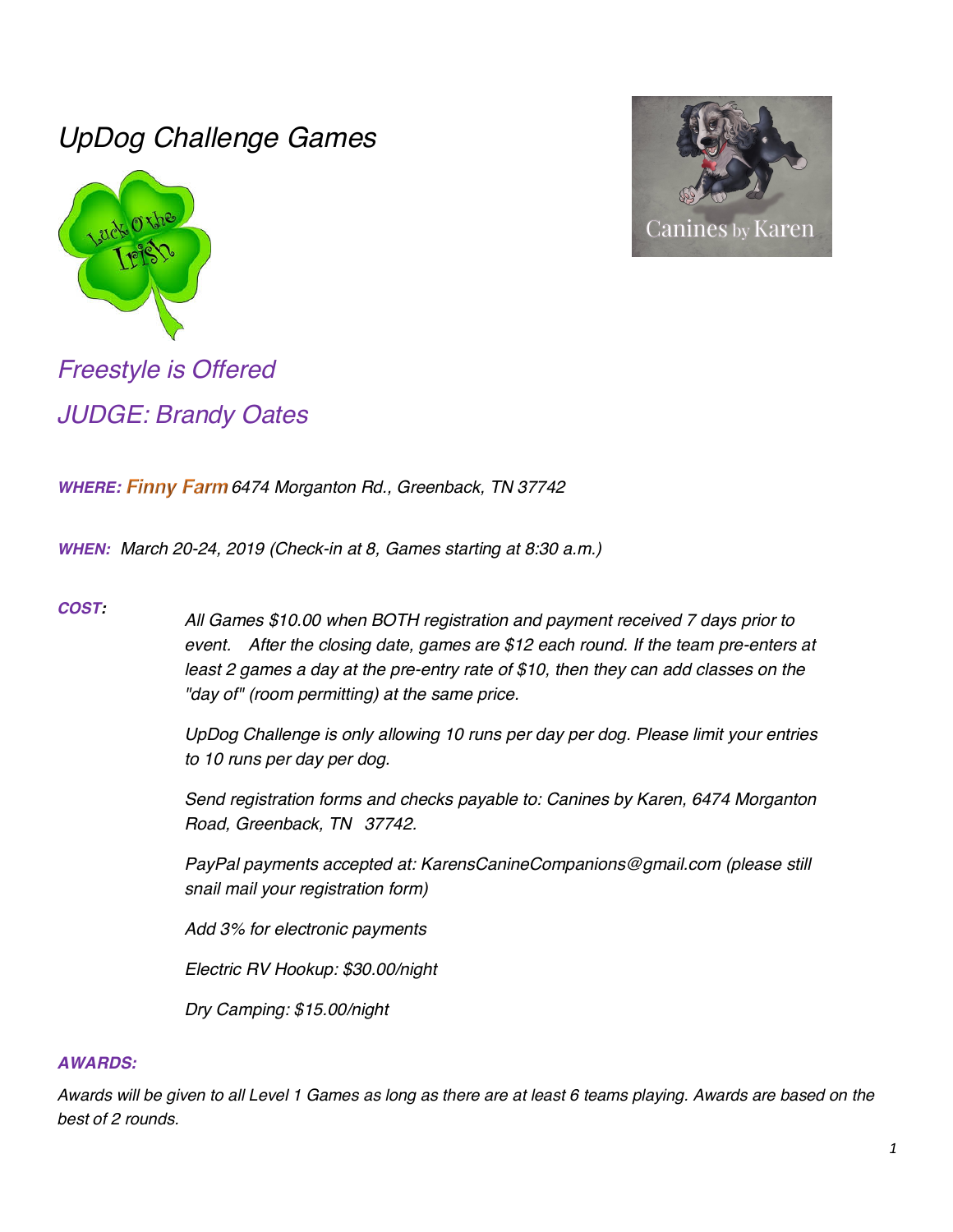# *UpDog Challenge Games*





*Freestyle is Offered JUDGE: Brandy Oates*

*WHERE: 6474 Morganton Rd., Greenback, TN 37742*

*WHEN: March 20-24, 2019 (Check-in at 8, Games starting at 8:30 a.m.)*

### *COST:*

*All Games \$10.00 when BOTH registration and payment received 7 days prior to event. After the closing date, games are \$12 each round. If the team pre-enters at least 2 games a day at the pre-entry rate of \$10, then they can add classes on the "day of" (room permitting) at the same price.*

*UpDog Challenge is only allowing 10 runs per day per dog. Please limit your entries to 10 runs per day per dog.*

*Send registration forms and checks payable to: Canines by Karen, 6474 Morganton Road, Greenback, TN 37742.*

*PayPal payments accepted at: KarensCanineCompanions@gmail.com (please still snail mail your registration form)*

*Add 3% for electronic payments*

*Electric RV Hookup: \$30.00/night*

*Dry Camping: \$15.00/night*

#### *AWARDS:*

*Awards will be given to all Level 1 Games as long as there are at least 6 teams playing. Awards are based on the best of 2 rounds.*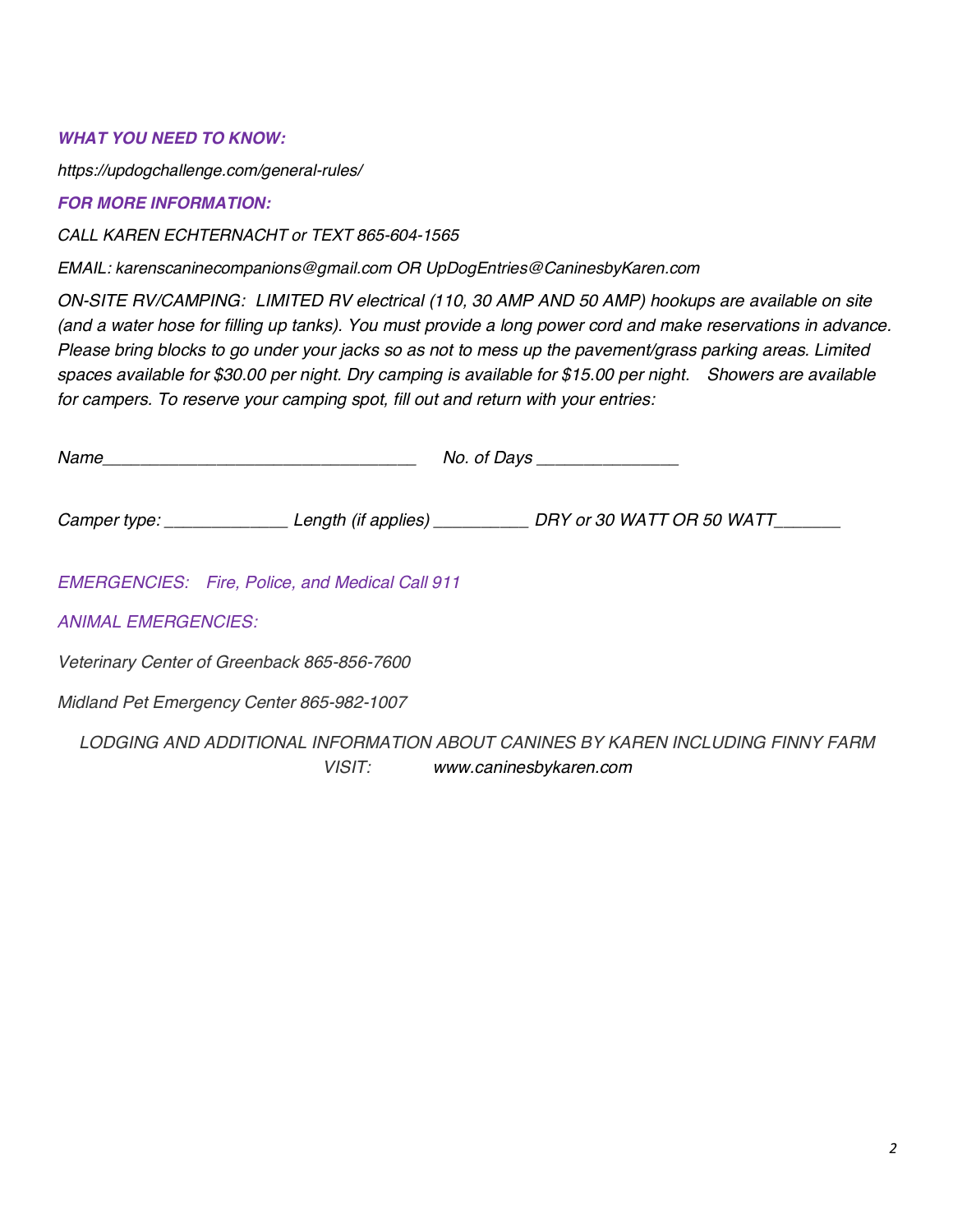## *WHAT YOU NEED TO KNOW:*

*https://updogchallenge.com/general-rules/*

## *FOR MORE INFORMATION:*

*CALL KAREN ECHTERNACHT or TEXT 865-604-1565*

*EMAIL: karenscaninecompanions@gmail.com OR UpDogEntries@CaninesbyKaren.com*

*ON-SITE RV/CAMPING: LIMITED RV electrical (110, 30 AMP AND 50 AMP) hookups are available on site (and a water hose for filling up tanks). You must provide a long power cord and make reservations in advance. Please bring blocks to go under your jacks so as not to mess up the pavement/grass parking areas. Limited spaces available for \$30.00 per night. Dry camping is available for \$15.00 per night. Showers are available for campers. To reserve your camping spot, fill out and return with your entries:*

|                            | Name                                                   |                                                                                                   |
|----------------------------|--------------------------------------------------------|---------------------------------------------------------------------------------------------------|
|                            |                                                        | Camper type: __________________Length (if applies) _____________DRY or 30 WATT OR 50 WATT________ |
|                            | <b>EMERGENCIES:</b> Fire, Police, and Medical Call 911 |                                                                                                   |
| <b>ANIMAL EMERGENCIES:</b> |                                                        |                                                                                                   |
|                            | Veterinary Center of Greenback 865-856-7600            |                                                                                                   |
|                            | Midland Pet Emergency Center 865-982-1007              |                                                                                                   |
|                            | VISIT: www.caninesbykaren.com                          | LODGING AND ADDITIONAL INFORMATION ABOUT CANINES BY KAREN INCLUDING FINNY FARM                    |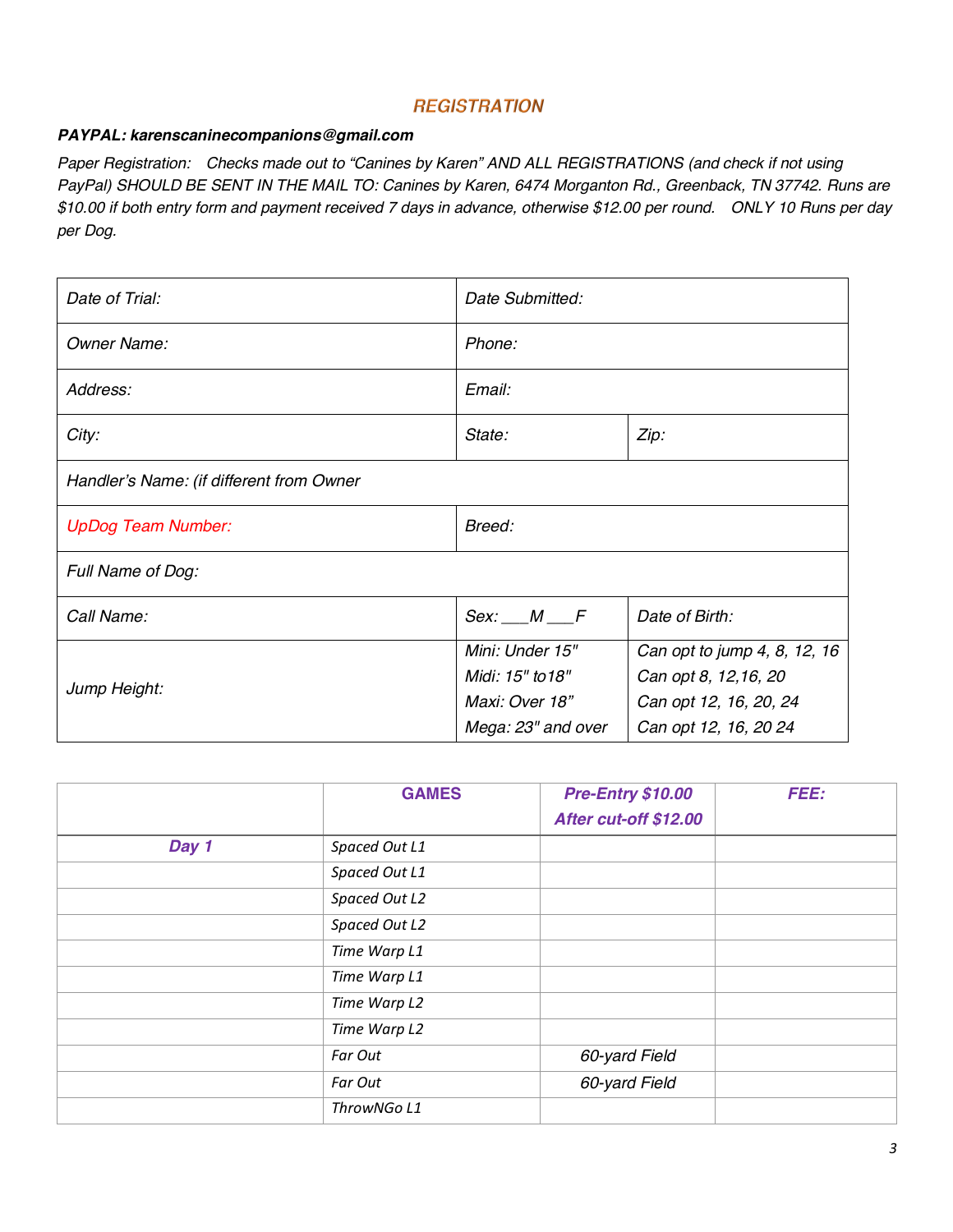## **REGISTRATION**

#### *PAYPAL: karenscaninecompanions@gmail.com*

*Paper Registration: Checks made out to "Canines by Karen" AND ALL REGISTRATIONS (and check if not using PayPal) SHOULD BE SENT IN THE MAIL TO: Canines by Karen, 6474 Morganton Rd., Greenback, TN 37742. Runs are \$10.00 if both entry form and payment received 7 days in advance, otherwise \$12.00 per round. ONLY 10 Runs per day per Dog.*

| Date of Trial:                           | Date Submitted:    |                              |  |
|------------------------------------------|--------------------|------------------------------|--|
| <b>Owner Name:</b>                       | Phone:             |                              |  |
| Address:                                 | Email:             |                              |  |
| City:                                    | State:             | Zip:                         |  |
| Handler's Name: (if different from Owner |                    |                              |  |
| <b>UpDog Team Number:</b>                | Breed:             |                              |  |
| Full Name of Dog:                        |                    |                              |  |
| Call Name:                               | Sex: M F           | Date of Birth:               |  |
|                                          | Mini: Under 15"    | Can opt to jump 4, 8, 12, 16 |  |
| Jump Height:                             | Midi: 15" to 18"   | Can opt 8, 12, 16, 20        |  |
|                                          | Maxi: Over 18"     | Can opt 12, 16, 20, 24       |  |
|                                          | Mega: 23" and over | Can opt 12, 16, 20 24        |  |

|       | <b>GAMES</b>  | <b>Pre-Entry \$10.00</b><br>After cut-off \$12.00 | <b>FEE:</b> |
|-------|---------------|---------------------------------------------------|-------------|
| Day 1 | Spaced Out L1 |                                                   |             |
|       | Spaced Out L1 |                                                   |             |
|       | Spaced Out L2 |                                                   |             |
|       | Spaced Out L2 |                                                   |             |
|       | Time Warp L1  |                                                   |             |
|       | Time Warp L1  |                                                   |             |
|       | Time Warp L2  |                                                   |             |
|       | Time Warp L2  |                                                   |             |
|       | Far Out       | 60-yard Field                                     |             |
|       | Far Out       | 60-yard Field                                     |             |
|       | ThrowNGo L1   |                                                   |             |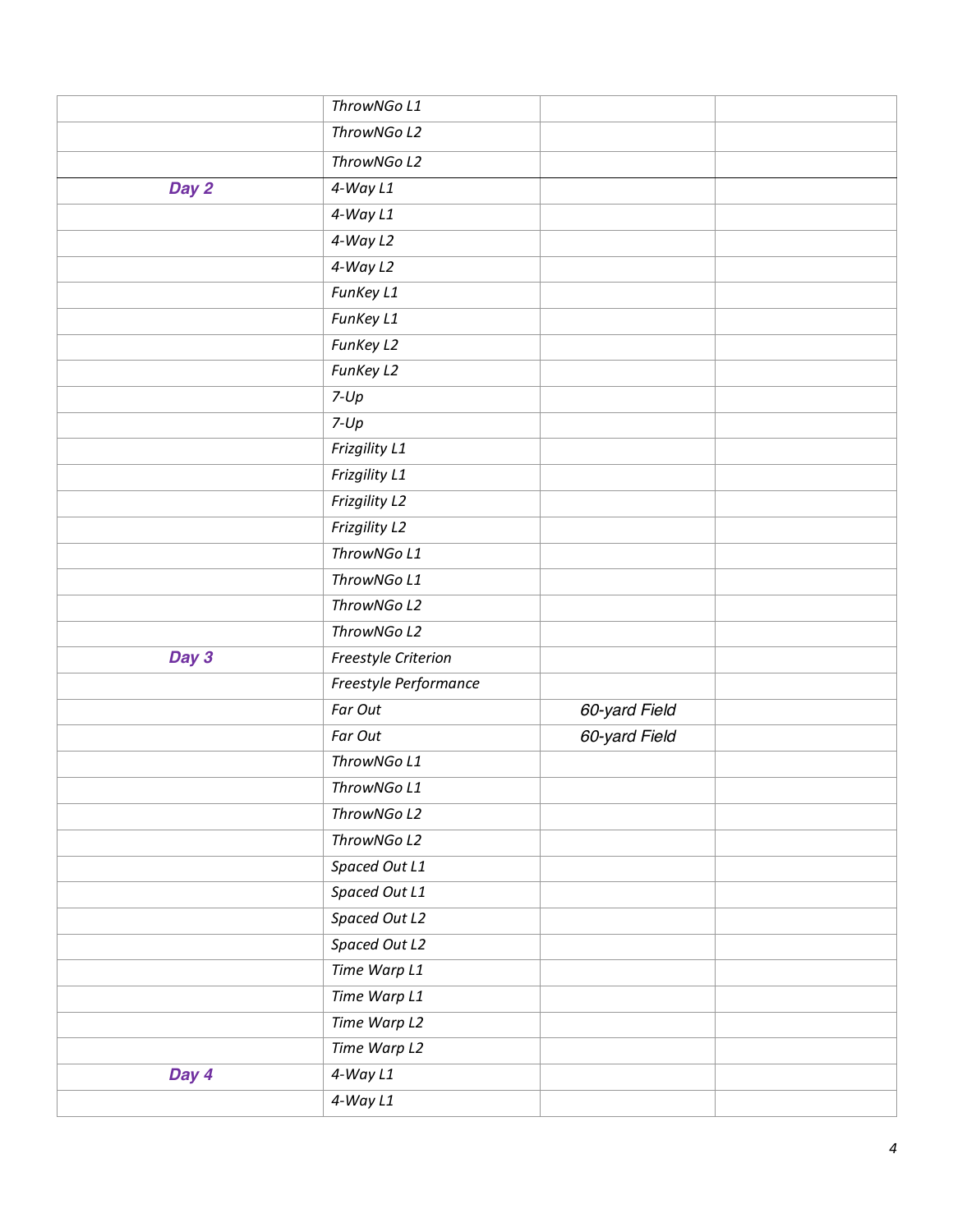|       | ThrowNGo L1           |               |  |
|-------|-----------------------|---------------|--|
|       | ThrowNGo L2           |               |  |
|       | ThrowNGo L2           |               |  |
| Day 2 | $4-WayL1$             |               |  |
|       | $4-WayL1$             |               |  |
|       | $4-WayL2$             |               |  |
|       | 4-Way L2              |               |  |
|       | FunKey L1             |               |  |
|       | FunKey L1             |               |  |
|       | FunKey L2             |               |  |
|       | FunKey L2             |               |  |
|       | $7 - Up$              |               |  |
|       | $7 - Up$              |               |  |
|       | Frizgility L1         |               |  |
|       | Frizgility L1         |               |  |
|       | Frizgility L2         |               |  |
|       | Frizgility L2         |               |  |
|       | ThrowNGo L1           |               |  |
|       | ThrowNGo L1           |               |  |
|       | ThrowNGo L2           |               |  |
|       | ThrowNGo L2           |               |  |
| Day 3 | Freestyle Criterion   |               |  |
|       | Freestyle Performance |               |  |
|       | Far Out               | 60-yard Field |  |
|       | Far Out               | 60-yard Field |  |
|       | ThrowNGo L1           |               |  |
|       | ThrowNGo L1           |               |  |
|       | ThrowNGo L2           |               |  |
|       | ThrowNGo L2           |               |  |
|       | Spaced Out L1         |               |  |
|       | Spaced Out L1         |               |  |
|       | Spaced Out L2         |               |  |
|       | Spaced Out L2         |               |  |
|       | Time Warp L1          |               |  |
|       | Time Warp L1          |               |  |
|       | Time Warp L2          |               |  |
|       | Time Warp L2          |               |  |
| Day 4 | $4-WayL1$             |               |  |
|       | $4-WayL1$             |               |  |